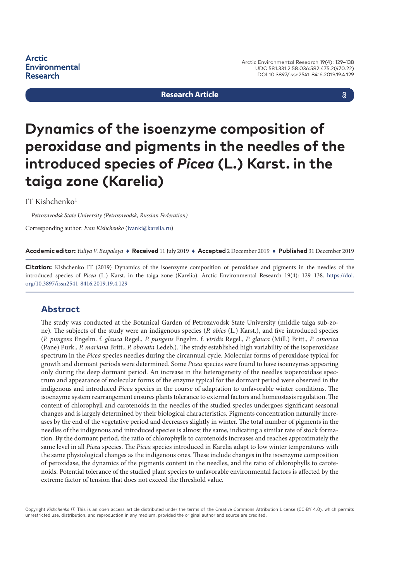**Arctic Environmental Research** 

#### **Research Article**

## a

# **Dynamics of the isoenzyme composition of peroxidase and pigments in the needles of the introduced species of** *Picea* **(L.) Karst. in the taiga zone (Karelia)**

#### IT Kishchenko $1$

1 *Petrozavodsk State University (Petrozavodsk, Russian Federation)*

Corresponding author: *Ivan Kishchenko* ([ivanki@karelia.ru](mailto:ivanki@karelia.ru))

**Academic editor:** *Yuliya V. Bespalaya* ♦ **Received** 11 July 2019 ♦ **Accepted** 2 December 2019 ♦ **Published** 31 December 2019

**Citation:** Kishchenko IT (2019) Dynamics of the isoenzyme composition of peroxidase and pigments in the needles of the introduced species of *Picea* (L.) Karst. in the taiga zone (Karelia). Arctic Environmental Research 19(4): 129–138. [https://doi.](https://doi.org/%18) [org/10.3897/issn2541-8416.2019.19.4.129](https://doi.org/%18)

## **Abstract**

The study was conducted at the Botanical Garden of Petrozavodsk State University (middle taiga sub-zone). The subjects of the study were an indigenous species (*P. abies* (L.) Karst.), and five introduced species (*P. pungens* Engelm. f. *glauca* Regel., *P. pungens* Engelm. f. *viridis* Regel., *P. glauca* (Mill.) Britt., *P. omorica*  (Pane) Purk., *P. mariana* Britt., *P. obovata* Ledeb.). The study established high variability of the isoperoxidase spectrum in the *Picea* species needles during the circannual cycle. Molecular forms of peroxidase typical for growth and dormant periods were determined. Some *Picea* species were found to have isoenzymes appearing only during the deep dormant period. An increase in the heterogeneity of the needles isoperoxidase spectrum and appearance of molecular forms of the enzyme typical for the dormant period were observed in the indigenous and introduced *Picea* species in the course of adaptation to unfavorable winter conditions. The isoenzyme system rearrangement ensures plants tolerance to external factors and homeostasis regulation. The content of chlorophyll and carotenoids in the needles of the studied species undergoes significant seasonal changes and is largely determined by their biological characteristics. Pigments concentration naturally increases by the end of the vegetative period and decreases slightly in winter. The total number of pigments in the needles of the indigenous and introduced species is almost the same, indicating a similar rate of stock formation. By the dormant period, the ratio of chlorophylls to carotenoids increases and reaches approximately the same level in all *Picea* species. The *Picea* species introduced in Karelia adapt to low winter temperatures with the same physiological changes as the indigenous ones. These include changes in the isoenzyme composition of peroxidase, the dynamics of the pigments content in the needles, and the ratio of chlorophylls to carotenoids. Potential tolerance of the studied plant species to unfavorable environmental factors is affected by the extreme factor of tension that does not exceed the threshold value.

Copyright *Kishchenko IT.* This is an open access article distributed under the terms of the Creative Commons Attribution License (CC-BY 4.0), which permits unrestricted use, distribution, and reproduction in any medium, provided the original author and source are credited.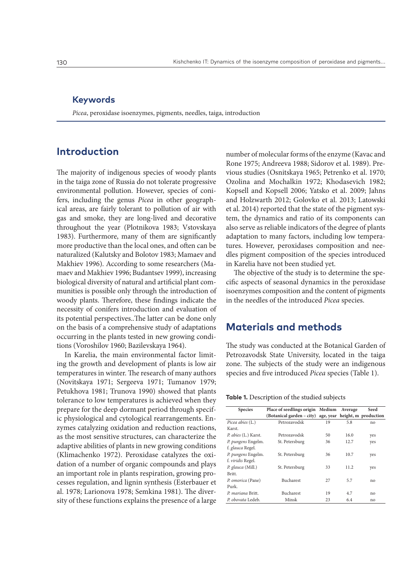## **Keywords**

*Picea*, peroxidase isoenzymes, pigments, needles, taiga, introduction

# **Introduction**

The majority of indigenous species of woody plants in the taiga zone of Russia do not tolerate progressive environmental pollution. However, species of conifers, including the genus *Picea* in other geographical areas, are fairly tolerant to pollution of air with gas and smoke, they are long-lived and decorative throughout the year (Plotnikova 1983; Vstovskaya 1983). Furthermore, many of them are significantly more productive than the local ones, and often can be naturalized (Kalutsky and Bolotov 1983; Mamaev and Makhiev 1996). According to some researchers (Mamaev and Makhiev 1996; Budantsev 1999), increasing biological diversity of natural and artificial plant communities is possible only through the introduction of woody plants. Therefore, these findings indicate the necessity of conifers introduction and evaluation of its potential perspectives..The latter can be done only on the basis of a comprehensive study of adaptations occurring in the plants tested in new growing conditions (Voroshilov 1960; Bazilevskaya 1964).

In Karelia, the main environmental factor limiting the growth and development of plants is low air temperatures in winter. The research of many authors (Novitskaya 1971; Sergeeva 1971; Tumanov 1979; Petukhova 1981; Trunova 1990) showed that plants tolerance to low temperatures is achieved when they prepare for the deep dormant period through specific physiological and cytological rearrangements. Enzymes catalyzing oxidation and reduction reactions, as the most sensitive structures, can characterize the adaptive abilities of plants in new growing conditions (Klimachenko 1972). Peroxidase catalyzes the oxidation of a number of organic compounds and plays an important role in plants respiration, growing processes regulation, and lignin synthesis (Esterbauer et al. 1978; Larionova 1978; Semkina 1981). The diversity of these functions explains the presence of a large

number of molecular forms of the enzyme (Kavac and Rone 1975; Andreeva 1988; Sidorov et al. 1989). Previous studies (Osnitskaya 1965; Petrenko et al. 1970; Ozolina and Mochalkin 1972; Khodasevich 1982; Kopsell and Kopsell 2006; Yatsko et al. 2009; Jahns and Holzwarth 2012; Golovko et al. 2013; Latowski et al. 2014) reported that the state of the pigment system, the dynamics and ratio of its components can also serve as reliable indicators of the degree of plants adaptation to many factors, including low temperatures. However, peroxidases composition and needles pigment composition of the species introduced in Karelia have not been studied yet.

The objective of the study is to determine the specific aspects of seasonal dynamics in the peroxidase isoenzymes composition and the content of pigments in the needles of the introduced *Picea* species.

## **Materials and methods**

The study was conducted at the Botanical Garden of Petrozavodsk State University, located in the taiga zone. The subjects of the study were an indigenous species and five introduced *Picea* species (Table 1).

#### **Table 1.** Description of the studied subjects

| <b>Species</b>       | Place of seedlings origin Medium                         |    | Average | Seed |
|----------------------|----------------------------------------------------------|----|---------|------|
|                      | (Botanical garden – city) age, year height, m production |    |         |      |
| Picea abies (L.)     | Petrozavodsk                                             | 19 | 5.8     | no   |
| Karst.               |                                                          |    |         |      |
| P. abies (L.) Karst. | Petrozavodsk                                             | 50 | 16.0    | yes  |
| P. pungens Engelm.   | St. Petersburg                                           | 36 | 12.7    | yes  |
| f. glauca Regel.     |                                                          |    |         |      |
| P. pungens Engelm.   | St. Petersburg                                           | 36 | 10.7    | yes  |
| f. viridis Regel.    |                                                          |    |         |      |
| P. glauca (Mill.)    | St. Petersburg                                           | 33 | 11.2    | yes  |
| Britt.               |                                                          |    |         |      |
| P. omorica (Pane)    | Bucharest                                                | 27 | 5.7     | no   |
| Purk.                |                                                          |    |         |      |
| P. mariana Britt.    | Bucharest                                                | 19 | 4.7     | no   |
| P. obovata Ledeb.    | Minsk                                                    | 23 | 6.4     | no   |
|                      |                                                          |    |         |      |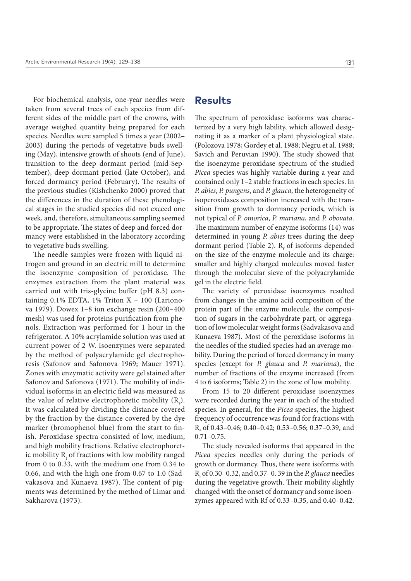For biochemical analysis, one-year needles were taken from several trees of each species from different sides of the middle part of the crowns, with average weighed quantity being prepared for each species. Needles were sampled 5 times a year (2002– 2003) during the periods of vegetative buds swelling (May), intensive growth of shoots (end of June), transition to the deep dormant period (mid-September), deep dormant period (late October), and forced dormancy period (February). The results of the previous studies (Kishchenko 2000) proved that the differences in the duration of these phenological stages in the studied species did not exceed one week, and, therefore, simultaneous sampling seemed to be appropriate. The states of deep and forced dormancy were established in the laboratory according to vegetative buds swelling.

The needle samples were frozen with liquid nitrogen and ground in an electric mill to determine the isoenzyme composition of peroxidase. The enzymes extraction from the plant material was carried out with tris-glycine buffer (pH 8.3) containing  $0.1\%$  EDTA,  $1\%$  Triton X -  $100$  (Larionova 1979). Dowex 1–8 ion exchange resin (200–400 mesh) was used for proteins purification from phenols. Extraction was performed for 1 hour in the refrigerator. A 10% acrylamide solution was used at current power of 2 W. Isoenzymes were separated by the method of polyacrylamide gel electrophoresis (Safonov and Safonova 1969; Mauer 1971). Zones with enzymatic activity were gel stained after Safonov and Safonova (1971). The mobility of individual isoforms in an electric field was measured as the value of relative electrophoretic mobility  $(R_f)$ . It was calculated by dividing the distance covered by the fraction by the distance covered by the dye marker (bromophenol blue) from the start to finish. Peroxidase spectra consisted of low, medium, and high mobility fractions. Relative electrophoretic mobility  $\mathrm R_{\mathrm f}$  of fractions with low mobility ranged from 0 to 0.33, with the medium one from 0.34 to 0.66, and with the high one from 0.67 to 1.0 (Sadvakasova and Kunaeva 1987). The content of pigments was determined by the method of Limar and Sakharova (1973).

## **Results**

The spectrum of peroxidase isoforms was characterized by a very high lability, which allowed designating it as a marker of a plant physiological state. (Polozova 1978; Gordey et al. 1988; Negru et al. 1988; Savich and Peruvian 1990). The study showed that the isoenzyme peroxidase spectrum of the studied *Picea* species was highly variable during a year and contained only 1–2 stable fractions in each species. In *P. abies*, *P. pungens*, and *P. glauca*, the heterogeneity of isoperoxidases composition increased with the transition from growth to dormancy periods, which is not typical of *P. omorica*, *P. mariana*, and *P. obovata*. The maximum number of enzyme isoforms (14) was determined in young *P. abies* trees during the deep dormant period (Table 2).  $R_f$  of isoforms depended on the size of the enzyme molecule and its charge: smaller and highly charged molecules moved faster through the molecular sieve of the polyacrylamide gel in the electric field.

The variety of peroxidase isoenzymes resulted from changes in the amino acid composition of the protein part of the enzyme molecule, the composition of sugars in the carbohydrate part, or aggregation of low molecular weight forms (Sadvakasova and Kunaeva 1987). Most of the peroxidase isoforms in the needles of the studied species had an average mobility. During the period of forced dormancy in many species (except for *P. glauca* and *P. mariana*), the number of fractions of the enzyme increased (from 4 to 6 isoforms; Table 2) in the zone of low mobility.

From 15 to 20 different peroxidase isoenzymes were recorded during the year in each of the studied species. In general, for the *Picea* species, the highest frequency of occurrence was found for fractions with R<sub>f</sub> of 0.43–0.46; 0.40–0.42; 0.53–0.56; 0.37–0.39, and  $0.71 - 0.75$ .

The study revealed isoforms that appeared in the *Picea* species needles only during the periods of growth or dormancy. Thus, there were isoforms with Rf of 0.30–0.32, and 0.37–0. 39 in the *P. glauca* needles during the vegetative growth. Their mobility slightly changed with the onset of dormancy and some isoenzymes appeared with Rf of 0.33–0.35, and 0.40–0.42.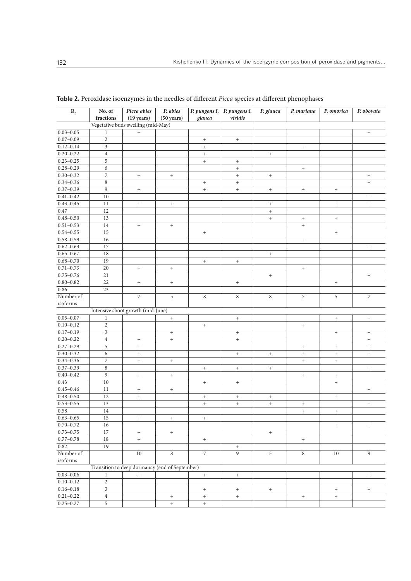| $\mathbf{R}_{\rm f}$               | No. of<br>fractions | Picea abies<br>$(19 \text{ years})$            | P. abies<br>$(50 \text{ years})$ | glauca                           | P. pungens f. P. pungens f.<br>viridis | P. glauca                        | P. mariana                       | P. omorica       | P. obovata                       |  |
|------------------------------------|---------------------|------------------------------------------------|----------------------------------|----------------------------------|----------------------------------------|----------------------------------|----------------------------------|------------------|----------------------------------|--|
| Vegetative buds swelling (mid-May) |                     |                                                |                                  |                                  |                                        |                                  |                                  |                  |                                  |  |
| $0.03 - 0.05$                      | $\mathbf{1}$        | $\begin{array}{c} + \end{array}$               |                                  |                                  |                                        |                                  |                                  |                  | $+$                              |  |
| $0.07 - 0.09$                      | $\sqrt{2}$          |                                                |                                  | $\qquad \qquad +$                | $^+$                                   |                                  |                                  |                  |                                  |  |
| $0.12 - 0.14$                      | $\mathfrak{Z}$      |                                                |                                  | $\qquad \qquad +$                |                                        |                                  | $^+$                             |                  |                                  |  |
| $0.20 - 0.22$                      | $\,4$               |                                                |                                  | $\ddot{}$                        |                                        |                                  |                                  |                  |                                  |  |
| $0.23 - 0.25$                      | 5                   |                                                |                                  | $+$                              | $^+$                                   |                                  |                                  |                  |                                  |  |
| $0.28 - 0.29$                      | $\sqrt{6}$          |                                                |                                  |                                  | $^{+}$                                 |                                  | $^+$                             |                  |                                  |  |
| $0.30 - 0.32$                      | $\overline{7}$      | $^{\mathrm{+}}$                                | $\qquad \qquad +$                |                                  | $\ddot{}$                              | $\qquad \qquad +$                |                                  |                  | $\boldsymbol{+}$                 |  |
| $0.34 - 0.36$                      | $\,8\,$             |                                                |                                  | $^{+}$                           | $+$                                    |                                  |                                  |                  | $^+$                             |  |
| $0.37 - 0.39$                      | 9                   | $\begin{array}{c} + \end{array}$               |                                  | $\begin{array}{c} + \end{array}$ | $\begin{array}{c} + \end{array}$       | $^+$                             | $\qquad \qquad +$                | $^+$             |                                  |  |
| $0.41 - 0.42$                      | 10                  |                                                |                                  |                                  |                                        |                                  |                                  |                  | $\boldsymbol{+}$                 |  |
| $0.43 - 0.45$                      | 11                  | $\begin{array}{c} + \end{array}$               | $\begin{array}{c} + \end{array}$ |                                  |                                        | $^+$                             |                                  | $^+$             | $\pm$                            |  |
| 0.47                               | 12                  |                                                |                                  |                                  |                                        | $^{+}$                           |                                  |                  |                                  |  |
| $0.48 - 0.50$                      | 13                  |                                                |                                  |                                  |                                        | $\begin{array}{c} + \end{array}$ | $^+$                             | $\, +$           |                                  |  |
| $0.51 - 0.53$                      | 14                  | $^+$                                           | $^{+}$                           |                                  |                                        |                                  | $\begin{array}{c} + \end{array}$ |                  |                                  |  |
| $0.54 - 0.55$                      | 15                  |                                                |                                  | $+$                              |                                        |                                  |                                  | $\boldsymbol{+}$ |                                  |  |
| $0.58 - 0.59$                      | 16                  |                                                |                                  |                                  |                                        |                                  | $+$                              |                  |                                  |  |
| $0.62 - 0.63$                      | 17                  |                                                |                                  |                                  |                                        |                                  |                                  |                  | $^+$                             |  |
| $0.65 - 0.67$                      | 18                  |                                                |                                  |                                  |                                        | $^+$                             |                                  |                  |                                  |  |
| $0.68 - 0.70$                      | 19                  |                                                |                                  | $^{+}$                           | $+$                                    |                                  |                                  |                  |                                  |  |
| $0.71 - 0.73$                      | 20                  | $^+$                                           | $^{+}$                           |                                  |                                        |                                  | $\begin{array}{c} + \end{array}$ |                  |                                  |  |
| $0.75 - 0.76$                      | 21                  |                                                |                                  |                                  |                                        | $^+$                             |                                  |                  | $+$                              |  |
| $0.80 - 0.82$                      | 22                  | $\qquad \qquad +$                              | $\begin{array}{c} + \end{array}$ |                                  | $\qquad \qquad +$                      |                                  |                                  | $\boldsymbol{+}$ |                                  |  |
| 0.86                               | 23                  |                                                |                                  |                                  |                                        |                                  |                                  |                  |                                  |  |
| Number of                          |                     | $\boldsymbol{7}$                               | 5                                | 8                                | 8                                      | $\,$ 8 $\,$                      | $\sqrt{7}$                       | 5                | $\sqrt{2}$                       |  |
| isoforms                           |                     |                                                |                                  |                                  |                                        |                                  |                                  |                  |                                  |  |
|                                    |                     | Intensive shoot growth (mid-June)              |                                  |                                  |                                        |                                  |                                  |                  |                                  |  |
| $0.05 - 0.07$                      | $\mathbf{1}$        |                                                | $^{+}$                           |                                  | $^{\mathrm{+}}$                        |                                  |                                  | $^+$             | $^+$                             |  |
| $0.10 - 0.12$                      | $\sqrt{2}$          |                                                |                                  | $\boldsymbol{+}$                 |                                        |                                  | $+$                              |                  |                                  |  |
| $0.17 - 0.19$                      | $\mathfrak{Z}$      |                                                | $\qquad \qquad +$                |                                  | $\boldsymbol{+}$                       |                                  |                                  | $+$              | $\boldsymbol{+}$                 |  |
| $0.20 - 0.22$                      | $\overline{4}$      | $\qquad \qquad +$                              | $+$                              |                                  | $+$                                    |                                  |                                  |                  | $+$                              |  |
| $0.27 - 0.29$                      | 5                   | $\boldsymbol{+}$                               |                                  |                                  |                                        |                                  | $^+$                             | $\boldsymbol{+}$ | $\boldsymbol{+}$                 |  |
| $0.30 - 0.32$                      | $\sqrt{6}$          | $^{\mathrm{+}}$                                |                                  |                                  | $\begin{array}{c} + \end{array}$       | $^{\mathrm{+}}$                  | $\boldsymbol{+}$                 | $\boldsymbol{+}$ | $\pm$                            |  |
| $0.34 - 0.36$                      | $\overline{7}$      | $^+$                                           | $\begin{array}{c} + \end{array}$ |                                  |                                        |                                  | $^{+}$                           | $\boldsymbol{+}$ |                                  |  |
| $0.37 - 0.39$                      | $\,$ 8 $\,$         |                                                |                                  | $^{+}$                           | $\begin{array}{c} + \end{array}$       | $\begin{array}{c} + \end{array}$ |                                  |                  | $^+$                             |  |
| $0.40 - 0.42$                      | $\overline{9}$      | $\, +$                                         | $^{+}$                           |                                  |                                        |                                  | $^+$                             | $^{\mathrm{+}}$  |                                  |  |
| 0.43                               | 10                  |                                                |                                  | $\qquad \qquad +$                | $+$                                    |                                  |                                  | $+$              |                                  |  |
| $0.45 - 0.46$                      | 11                  | $^+$                                           | $^{+}$                           |                                  |                                        |                                  |                                  |                  | $\boldsymbol{+}$                 |  |
| $0.48 - 0.50$                      | 12                  | $\begin{array}{c} + \end{array}$               |                                  | $^{+}$                           | $^+$                                   | $^{\mathrm{+}}$                  |                                  | $^+$             |                                  |  |
| $0.53 - 0.55$                      | 13                  |                                                |                                  | $\qquad \qquad +$                | $\qquad \qquad +$                      | $^{+}$                           | $+$                              |                  | $\boldsymbol{+}$                 |  |
| $0.58\,$                           | 14                  |                                                |                                  |                                  |                                        |                                  | $+$                              | $\boldsymbol{+}$ |                                  |  |
| $0.63 - 0.65$                      | 15                  | $^+$                                           | $^{+}$                           | $^{+}$                           |                                        |                                  |                                  |                  |                                  |  |
| $0.70 - 0.72$                      | 16                  |                                                |                                  |                                  |                                        |                                  |                                  | $\boldsymbol{+}$ | $^+$                             |  |
| $0.73 - 0.75$                      | 17                  | $\qquad \qquad +$                              | $+$                              |                                  |                                        | $^{+}$                           |                                  |                  |                                  |  |
| $0.77 - 0.78$                      | 18                  | $\pm$                                          |                                  | $+$                              |                                        |                                  | $+$                              |                  |                                  |  |
| 0.82                               | 19                  |                                                |                                  |                                  |                                        |                                  |                                  |                  |                                  |  |
| Number of                          |                     | $10\,$                                         | 8                                | $\overline{7}$                   | $\boldsymbol{+}$<br>$\overline{9}$     | 5                                | $\,8\,$                          | 10               | 9                                |  |
| isoforms                           |                     |                                                |                                  |                                  |                                        |                                  |                                  |                  |                                  |  |
|                                    |                     | Transition to deep dormancy (end of September) |                                  |                                  |                                        |                                  |                                  |                  |                                  |  |
| $0.03 - 0.06$                      | $\mathbf{1}$        | $\boldsymbol{+}$                               |                                  |                                  |                                        |                                  |                                  |                  |                                  |  |
| $0.10 - 0.12$                      | $\overline{2}$      |                                                |                                  | $^+$                             | $\boldsymbol{+}$                       |                                  |                                  |                  | $^+$                             |  |
|                                    |                     |                                                |                                  |                                  |                                        |                                  |                                  |                  |                                  |  |
| $0.16 - 0.18$                      | $\mathfrak{Z}$      |                                                |                                  | $^{+}$                           | $^{+}$                                 | $^{+}$                           |                                  | $+$              | $\begin{array}{c} + \end{array}$ |  |
| $0.21 - 0.22$                      | $\overline{4}$      |                                                | $^{+}$                           | $+$                              | $+$                                    |                                  | $\pm$                            | $+$              |                                  |  |
| $0.25 - 0.27$                      | 5                   |                                                | $^+$                             | $+$                              |                                        |                                  |                                  |                  |                                  |  |

**Table 2.** Peroxidase isoenzymes in the needles of different *Picea* species at different phenophases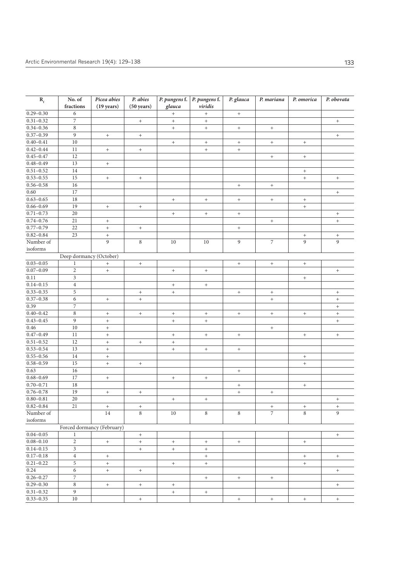| $R_f$                          | No. of                  | Picea abies                            | P. abies                         | P. pungens f.                                        | P. pungens f.                    | P. glauca                        | $\overline{P}$ <i>mariana</i>    | P. omorica                       | P. obovata                       |
|--------------------------------|-------------------------|----------------------------------------|----------------------------------|------------------------------------------------------|----------------------------------|----------------------------------|----------------------------------|----------------------------------|----------------------------------|
|                                | fractions               | $(19 \text{ years})$                   | $(50 \text{ years})$             | glauca                                               | viridis                          |                                  |                                  |                                  |                                  |
| $0.29 - 0.30$                  | $\sqrt{6}$              |                                        |                                  | $^+$                                                 | $\ddot{}$                        | $\boldsymbol{+}$                 |                                  |                                  |                                  |
| $0.31 - 0.32$                  | $\overline{7}$          |                                        | $+$                              | $\ddot{}$                                            | $\ddot{}$                        |                                  |                                  |                                  | $+$                              |
| $0.34 - 0.36$                  | $\,$ 8 $\,$             |                                        |                                  | $\boldsymbol{+}$                                     | $+$                              | $^+$                             | $^+$                             |                                  |                                  |
| $0.37 - 0.39$                  | 9                       | $^+$                                   | $\boldsymbol{+}$                 |                                                      |                                  |                                  |                                  |                                  | $\boldsymbol{+}$                 |
| $0.40 - 0.41$                  | 10                      |                                        |                                  | $\boldsymbol{+}$                                     | $^{+}$                           | $\boldsymbol{+}$                 | $\boldsymbol{+}$                 | $\begin{array}{c} + \end{array}$ |                                  |
| $0.42 - 0.44$                  | 11                      | $\qquad \qquad +$                      | $\begin{array}{c} + \end{array}$ |                                                      | $^{+}$                           | $^+$                             |                                  |                                  |                                  |
| $0.45 - 0.47$                  | 12                      |                                        |                                  |                                                      |                                  |                                  | $\boldsymbol{+}$                 | $^+$                             |                                  |
| $0.48 - 0.49$                  | 13                      | $\boldsymbol{+}$                       |                                  |                                                      |                                  |                                  |                                  |                                  |                                  |
| $0.51 - 0.52$                  | 14                      |                                        |                                  |                                                      |                                  |                                  |                                  | $\begin{array}{c} + \end{array}$ |                                  |
| $0.53 - 0.55$                  | 15                      | $\qquad \qquad +$                      | $+$                              |                                                      |                                  |                                  |                                  | $+$                              | $+$                              |
| $0.56 - 0.58$                  | 16                      |                                        |                                  |                                                      |                                  | $^+$                             | $^+$                             |                                  |                                  |
| 0.60                           | 17                      |                                        |                                  |                                                      |                                  |                                  |                                  |                                  | $+$                              |
| $0.63 - 0.65$                  | 18                      |                                        |                                  | $\boldsymbol{+}$                                     | $\qquad \qquad +$                | $\begin{array}{c} + \end{array}$ | $+$                              | $+$                              |                                  |
| $0.66 - 0.69$                  | 19                      | $\begin{array}{c} + \end{array}$       | $^{+}$                           |                                                      |                                  |                                  |                                  | $^{+}$                           |                                  |
| $0.71 - 0.73$                  | 20                      |                                        |                                  |                                                      | $^{+}$                           | $\boldsymbol{+}$                 |                                  |                                  | $\boldsymbol{+}$                 |
| $0.74 - 0.76$                  | 21                      | $\qquad \qquad +$                      |                                  |                                                      |                                  |                                  | $\begin{array}{c} + \end{array}$ |                                  | $+$                              |
| $0.77 - 0.79$                  | 22                      | $^+$                                   | $+$                              |                                                      |                                  | $^+$                             |                                  |                                  |                                  |
| $0.82 - 0.84$                  | 23                      | $^+$                                   |                                  |                                                      |                                  |                                  |                                  | $\boldsymbol{+}$                 | $+$                              |
| Number of                      |                         | 9                                      | $\,$ 8 $\,$                      | $10\,$                                               | $10\,$                           | 9                                | $\boldsymbol{7}$                 | 9                                | $\overline{9}$                   |
| isoforms                       |                         |                                        |                                  |                                                      |                                  |                                  |                                  |                                  |                                  |
|                                | Deep dormancy (October) |                                        |                                  |                                                      |                                  |                                  |                                  |                                  |                                  |
| $0.03 - 0.05$                  | $\mathbf{1}$            | $^+$                                   | $\qquad \qquad +$                |                                                      |                                  | $^+$                             | $^+$                             | $\boldsymbol{+}$                 |                                  |
| $0.07 - 0.09$                  | $\overline{2}$          | $^{+}$                                 |                                  | $\boldsymbol{+}$                                     | $\qquad \qquad +$                |                                  |                                  |                                  | $+$                              |
| 0.11                           | 3                       |                                        |                                  |                                                      |                                  |                                  |                                  | $+$                              |                                  |
| $0.14 - 0.15$                  | $\overline{4}$          |                                        |                                  | $^+$                                                 | $\begin{array}{c} + \end{array}$ |                                  |                                  |                                  |                                  |
| $0.33 - 0.35$                  | 5                       |                                        | $\boldsymbol{+}$                 | $+$                                                  |                                  | $\boldsymbol{+}$                 | $\boldsymbol{+}$                 |                                  | $+$                              |
| $0.37 - 0.38$                  | 6                       | $^{\mathrm{+}}$                        | $\ddot{}$                        |                                                      |                                  |                                  | $\boldsymbol{+}$                 |                                  | $\boldsymbol{+}$                 |
| 0.39                           | $\overline{7}$          |                                        |                                  |                                                      |                                  |                                  |                                  |                                  | $\begin{array}{c} + \end{array}$ |
| $0.40 - 0.42$                  | 8                       | $^+$                                   | $\boldsymbol{+}$                 | $\boldsymbol{+}$                                     | $\qquad \qquad +$                | $\boldsymbol{+}$                 | $^+$                             | $+$                              | $+$                              |
| $0.43 - 0.45$                  | 9                       | $\qquad \qquad +$                      |                                  | $\boldsymbol{+}$                                     | $+$                              |                                  |                                  |                                  | $+$                              |
| 0.46                           | 10                      | $\ddot{}$                              |                                  |                                                      |                                  |                                  | $+$                              |                                  |                                  |
| $0.47 - 0.49$                  | 11                      | $^+$                                   |                                  | $\boldsymbol{+}$                                     | $^{+}$                           | $^+$                             |                                  | $+$                              | $+$                              |
| $0.51 - 0.52$                  | 12                      | $^+$                                   | $\begin{array}{c} + \end{array}$ | $^+$                                                 |                                  |                                  |                                  |                                  |                                  |
| $0.53 - 0.54$                  | 13                      | $^+$                                   |                                  | $\boldsymbol{+}$                                     | $^{+}$                           | $\boldsymbol{+}$                 |                                  |                                  |                                  |
| $0.55 - 0.56$                  | 14                      | $^+$                                   |                                  |                                                      |                                  |                                  |                                  | $+$                              |                                  |
| $0.58 - 0.59$                  | 15                      | $\qquad \qquad +$                      | $\qquad \qquad +$                |                                                      |                                  |                                  |                                  | $^+$                             |                                  |
| 0.63                           | 16                      |                                        |                                  |                                                      |                                  | $+$                              |                                  |                                  |                                  |
| $0.68 - 0.69$<br>$0.70 - 0.71$ | 17<br>18                | $\qquad \qquad +$                      |                                  | $\begin{array}{c} + \end{array}$                     | $\! + \!$                        |                                  |                                  |                                  |                                  |
| $0.76 - 0.78$                  | 19                      |                                        |                                  |                                                      |                                  | $\boldsymbol{+}$                 |                                  | $+$                              |                                  |
| $0.80 - 0.81$                  | 20                      | $\qquad \qquad +$                      | $^+$                             |                                                      |                                  | $+$                              | $\begin{array}{c} + \end{array}$ |                                  |                                  |
|                                | 21                      |                                        |                                  | $\boldsymbol{+}$                                     | $\qquad \qquad +$                |                                  |                                  |                                  | $+$                              |
| $0.82 - 0.84$<br>Number of     |                         | $\begin{array}{c} + \end{array}$<br>14 | $^+$<br>$\,8\,$                  | 10                                                   | 8                                | 8                                | $^+$<br>$\overline{7}$           | $^+$<br>8                        | $^+$<br>$\mathbf{Q}$             |
| isoforms                       |                         |                                        |                                  |                                                      |                                  |                                  |                                  |                                  |                                  |
|                                |                         | Forced dormancy (February)             |                                  |                                                      |                                  |                                  |                                  |                                  |                                  |
| $0.04 - 0.05$                  | $\mathbf{1}$            |                                        | $+$                              |                                                      |                                  |                                  |                                  |                                  | $+$                              |
| $0.08 - 0.10$                  | $\sqrt{2}$              |                                        | $+$                              |                                                      | $+$                              |                                  |                                  |                                  |                                  |
| $0.14 - 0.15$                  | $\mathfrak{Z}$          | $^+$                                   | $+$                              | $\boldsymbol{+}$<br>$\begin{array}{c} + \end{array}$ | $+$                              | $\boldsymbol{+}$                 |                                  | $^+$                             |                                  |
| $0.17 - 0.18$                  | $\overline{4}$          | $^+$                                   |                                  |                                                      | $\ddot{}$                        |                                  |                                  | $+$                              | $^+$                             |
| $0.21 - 0.22$                  | 5                       | $+$                                    |                                  | $+$                                                  | $+$                              |                                  |                                  | $+$                              |                                  |
| 0.24                           | 6                       | $^+$                                   | $\boldsymbol{+}$                 |                                                      |                                  |                                  |                                  |                                  | $^+$                             |
| $0.26 - 0.27$                  | $\boldsymbol{7}$        |                                        |                                  |                                                      | $+$                              | $^{+}$                           | $^{+}$                           |                                  |                                  |
| $0.29 - 0.30$                  | $\,$ 8 $\,$             | $\qquad \qquad +$                      | $+$                              | $\boldsymbol{+}$                                     |                                  |                                  |                                  |                                  | $+$                              |
| $0.31 - 0.32$                  | $\boldsymbol{9}$        |                                        |                                  | $+$                                                  | $^{+}$                           |                                  |                                  |                                  |                                  |
| $0.33 - 0.35$                  | 10                      |                                        | $^{\mathrm{+}}$                  |                                                      |                                  | $^+$                             | $\, +$                           | $\boldsymbol{+}$                 | $^+$                             |
|                                |                         |                                        |                                  |                                                      |                                  |                                  |                                  |                                  |                                  |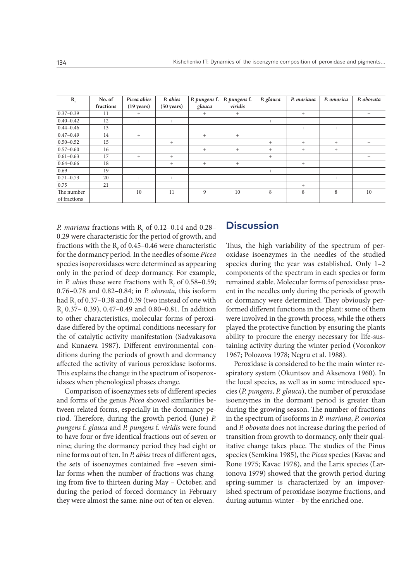| $\mathbf{R}_{\rm f}$ | No. of    | Picea abies          | P. abies             | P. pungens f. | P. pungens f. | P. glauca | P. mariana | P. omorica | P. obovata |
|----------------------|-----------|----------------------|----------------------|---------------|---------------|-----------|------------|------------|------------|
|                      | fractions | $(19 \text{ years})$ | $(50 \text{ years})$ | glauca        | viridis       |           |            |            |            |
| $0.37 - 0.39$        | 11        | $+$                  |                      | $+$           | $+$           |           | $+$        |            | $+$        |
| $0.40 - 0.42$        | 12        | $+$                  | $+$                  |               |               | $+$       |            |            |            |
| $0.44 - 0.46$        | 13        |                      |                      |               |               |           | $+$        | $+$        | $+$        |
| $0.47 - 0.49$        | 14        | $+$                  |                      | $+$           | $+$           |           |            |            |            |
| $0.50 - 0.52$        | 15        |                      | $+$                  |               |               | $+$       | $+$        | $+$        | $+$        |
| $0.57 - 0.60$        | 16        |                      |                      | $+$           | $+$           | $+$       | $+$        | $+$        |            |
| $0.61 - 0.63$        | 17        | $+$                  | $+$                  |               |               | $+$       |            |            | $+$        |
| $0.64 - 0.66$        | 18        |                      | $+$                  | $+$           | $+$           |           | $+$        |            |            |
| 0.69                 | 19        |                      |                      |               |               | $+$       |            |            |            |
| $0.71 - 0.73$        | 20        | $^{+}$               | $+$                  |               |               |           |            | $+$        | $+$        |
| 0.75                 | 21        |                      |                      |               |               |           | $+$        |            |            |
| The number           |           | 10                   | 11                   | 9             | 10            | 8         | 8          | 8          | 10         |
| of fractions         |           |                      |                      |               |               |           |            |            |            |

*P. mariana* fractions with  $R_f$  of 0.12–0.14 and 0.28– 0.29 were characteristic for the period of growth, and fractions with the  $R_{\rm f}$  of 0.45–0.46 were characteristic for the dormancy period. In the needles of some *Picea* species isoperoxidases were determined as appearing only in the period of deep dormancy. For example, in *P. abies* these were fractions with  $R_f$  of 0.58–0.59; 0.76–0.78 and 0.82–0.84; in *P. obovata*, this isoform had  $R_f$  of 0.37–0.38 and 0.39 (two instead of one with  $R_f$  0.37– 0.39), 0.47–0.49 and 0.80–0.81. In addition to other characteristics, molecular forms of peroxidase differed by the optimal conditions necessary for the of catalytic activity manifestation (Sadvakasova and Kunaeva 1987). Different environmental conditions during the periods of growth and dormancy affected the activity of various peroxidase isoforms. This explains the change in the spectrum of isoperoxidases when phenological phases change.

Comparison of isoenzymes sets of different species and forms of the genus *Picea* showed similarities between related forms, especially in the dormancy period. Therefore, during the growth period (June) *P. pungens* f. *glauca* and *P. pungens* f. *viridis* were found to have four or five identical fractions out of seven or nine; during the dormancy period they had eight or nine forms out of ten. In *P. abies* trees of different ages, the sets of isoenzymes contained five –seven similar forms when the number of fractions was changing from five to thirteen during May – October, and during the period of forced dormancy in February they were almost the same: nine out of ten or eleven.

## **Discussion**

Thus, the high variability of the spectrum of peroxidase isoenzymes in the needles of the studied species during the year was established. Only 1–2 components of the spectrum in each species or form remained stable. Molecular forms of peroxidase present in the needles only during the periods of growth or dormancy were determined. They obviously performed different functions in the plant: some of them were involved in the growth process, while the others played the protective function by ensuring the plants ability to procure the energy necessary for life-sustaining activity during the winter period (Voronkov 1967; Polozova 1978; Negru et al. 1988).

Peroxidase is considered to be the main winter respiratory system (Okuntsov and Aksenova 1960). In the local species, as well as in some introduced species (*P. pungens*, *P. glauca*), the number of peroxidase isoenzymes in the dormant period is greater than during the growing season. The number of fractions in the spectrum of isoforms in *P. mariana*, *P. omorica* and *P. obovata* does not increase during the period of transition from growth to dormancy, only their qualitative change takes place. The studies of the Pinus species (Semkina 1985), the *Picea* species (Kavac and Rone 1975; Kavac 1978), and the Larix species (Larionova 1979) showed that the growth period during spring-summer is characterized by an impoverished spectrum of peroxidase isozyme fractions, and during autumn-winter – by the enriched one.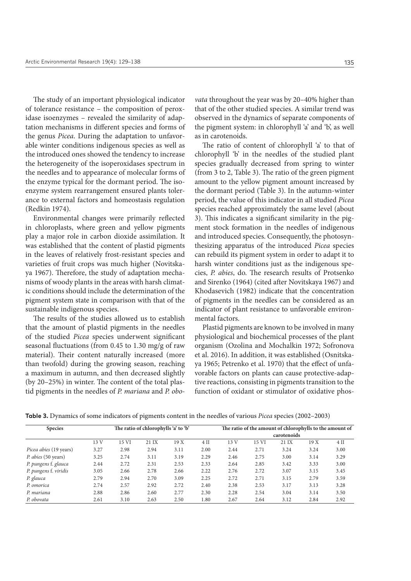The study of an important physiological indicator of tolerance resistance – the composition of peroxidase isoenzymes – revealed the similarity of adaptation mechanisms in different species and forms of the genus *Picea*. During the adaptation to unfavorable winter conditions indigenous species as well as the introduced ones showed the tendency to increase the heterogeneity of the isoperoxidases spectrum in the needles and to appearance of molecular forms of the enzyme typical for the dormant period. The isoenzyme system rearrangement ensured plants tolerance to external factors and homeostasis regulation (Redkin 1974).

Environmental changes were primarily reflected in chloroplasts, where green and yellow pigments play a major role in carbon dioxide assimilation. It was established that the content of plastid pigments in the leaves of relatively frost-resistant species and varieties of fruit crops was much higher (Novitskaya 1967). Therefore, the study of adaptation mechanisms of woody plants in the areas with harsh climatic conditions should include the determination of the pigment system state in comparison with that of the sustainable indigenous species.

The results of the studies allowed us to establish that the amount of plastid pigments in the needles of the studied *Picea* species underwent significant seasonal fluctuations (from 0.45 to 1.30 mg/g of raw material). Their content naturally increased (more than twofold) during the growing season, reaching a maximum in autumn, and then decreased slightly (by 20–25%) in winter. The content of the total plastid pigments in the needles of *P. mariana* and *P. obo-* *vata* throughout the year was by 20–40% higher than that of the other studied species. A similar trend was observed in the dynamics of separate components of the pigment system: in chlorophyll 'a' and 'b', as well as in carotenoids.

The ratio of content of chlorophyll 'a' to that of chlorophyll 'b' in the needles of the studied plant species gradually decreased from spring to winter (from 3 to 2, Table 3). The ratio of the green pigment amount to the yellow pigment amount increased by the dormant period (Table 3). In the autumn-winter period, the value of this indicator in all studied *Picea* species reached approximately the same level (about 3). This indicates a significant similarity in the pigment stock formation in the needles of indigenous and introduced species. Consequently, the photosynthesizing apparatus of the introduced *Picea* species can rebuild its pigment system in order to adapt it to harsh winter conditions just as the indigenous species, *P. abies*, do. The research results of Protsenko and Sirenko (1964) (cited after Novitskaya 1967) and Khodasevich (1982) indicate that the concentration of pigments in the needles can be considered as an indicator of plant resistance to unfavorable environmental factors.

Plastid pigments are known to be involved in many physiological and biochemical processes of the plant organism (Ozolina and Mochalkin 1972; Sofronova et al. 2016). In addition, it was established (Osnitskaya 1965; Petrenko et al. 1970) that the effect of unfavorable factors on plants can cause protective-adaptive reactions, consisting in pigments transition to the function of oxidant or stimulator of oxidative phos-

**Table 3.** Dynamics of some indicators of pigments content in the needles of various *Picea* species (2002–2003)

| <b>Species</b>         | The ratio of chlorophylls 'a' to 'b' |       |       |      |             |      | The ratio of the amount of chlorophylls to the amount of |       |      |      |
|------------------------|--------------------------------------|-------|-------|------|-------------|------|----------------------------------------------------------|-------|------|------|
|                        |                                      |       |       |      | carotenoids |      |                                                          |       |      |      |
|                        | 13 V                                 | 15 VI | 21 IX | 19 X | $4$ II      | 13V  | 15 VI                                                    | 21 IX | 19 X | 4 II |
| Picea abies (19 years) | 3.27                                 | 2.98  | 2.94  | 3.11 | 2.00        | 2.44 | 2.71                                                     | 3.24  | 3.24 | 3.00 |
| P. abies (50 years)    | 3.25                                 | 2.74  | 3.11  | 3.19 | 2.29        | 2.46 | 2.75                                                     | 3.00  | 3.14 | 3.29 |
| P. pungens f. glauca   | 2.44                                 | 2.72  | 2.31  | 2.53 | 2.33        | 2.64 | 2.85                                                     | 3.42  | 3.33 | 3.00 |
| P. pungens f. viridis  | 3.05                                 | 2.66  | 2.78  | 2.66 | 2.22        | 2.76 | 2.72                                                     | 3.07  | 3.15 | 3.45 |
| P. glauca              | 2.79                                 | 2.94  | 2.70  | 3.09 | 2.25        | 2.72 | 2.71                                                     | 3.15  | 2.79 | 3.59 |
| P. omorica             | 2.74                                 | 2.57  | 2.92  | 2.72 | 2.40        | 2.38 | 2.53                                                     | 3.17  | 3.13 | 3.28 |
| P. mariana             | 2.88                                 | 2.86  | 2.60  | 2.77 | 2.30        | 2.28 | 2.54                                                     | 3.04  | 3.14 | 3.50 |
| P. obovata             | 2.61                                 | 3.10  | 2.63  | 2.50 | 1.80        | 2.67 | 2.64                                                     | 3.12  | 2.84 | 2.92 |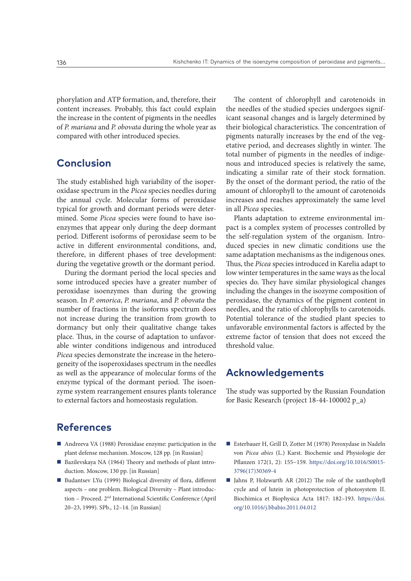phorylation and ATP formation, and, therefore, their content increases. Probably, this fact could explain the increase in the content of pigments in the needles of *P. mariana* and *P. obovata* during the whole year as compared with other introduced species.

# **Conclusion**

The study established high variability of the isoperoxidase spectrum in the *Picea* species needles during the annual cycle. Molecular forms of peroxidase typical for growth and dormant periods were determined. Some *Picea* species were found to have isoenzymes that appear only during the deep dormant period. Different isoforms of peroxidase seem to be active in different environmental conditions, and, therefore, in different phases of tree development: during the vegetative growth or the dormant period.

During the dormant period the local species and some introduced species have a greater number of peroxidase isoenzymes than during the growing season. In *P. omorica*, *P. mariana*, and *P. obovata* the number of fractions in the isoforms spectrum does not increase during the transition from growth to dormancy but only their qualitative change takes place. Thus, in the course of adaptation to unfavorable winter conditions indigenous and introduced *Picea* species demonstrate the increase in the heterogeneity of the isoperoxidases spectrum in the needles as well as the appearance of molecular forms of the enzyme typical of the dormant period. The isoenzyme system rearrangement ensures plants tolerance to external factors and homeostasis regulation.

# **References**

- Andreeva VA (1988) Peroxidase enzyme: participation in the plant defense mechanism. Moscow, 128 pp. [in Russian]
- Bazilevskaya NA (1964) Theory and methods of plant introduction. Moscow, 130 pp. [in Russian]
- Budantsev LYu (1999) Biological diversity of flora, different aspects – one problem. Biological Diversity – Plant introduction – Proceed. 2nd International Scientific Conference (April 20–23, 1999). SPb., 12–14. [in Russian]

The content of chlorophyll and carotenoids in the needles of the studied species undergoes significant seasonal changes and is largely determined by their biological characteristics. The concentration of pigments naturally increases by the end of the vegetative period, and decreases slightly in winter. The total number of pigments in the needles of indigenous and introduced species is relatively the same, indicating a similar rate of their stock formation. By the onset of the dormant period, the ratio of the amount of chlorophyll to the amount of carotenoids increases and reaches approximately the same level in all *Picea* species.

Plants adaptation to extreme environmental impact is a complex system of processes controlled by the self-regulation system of the organism. Introduced species in new climatic conditions use the same adaptation mechanisms as the indigenous ones. Thus, the *Picea* species introduced in Karelia adapt to low winter temperatures in the same ways as the local species do. They have similar physiological changes including the changes in the isozyme composition of peroxidase, the dynamics of the pigment content in needles, and the ratio of chlorophylls to carotenoids. Potential tolerance of the studied plant species to unfavorable environmental factors is affected by the extreme factor of tension that does not exceed the threshold value.

## **Acknowledgements**

The study was supported by the Russian Foundation for Basic Research (project 18-44-100002 p\_a)

- Esterbauer Н, Grill D, Zotter М (1978) Peroxydase in Nadeln von *Picea abies* (L.) Karst. Biochemie und Physiologie der Pflanzen 172(1, 2): 155−159. [https://doi.org/10.1016/S0015-](https://doi.org/10.1016/S0015-3796(17)30369-4) [3796\(17\)30369-4](https://doi.org/10.1016/S0015-3796(17)30369-4)
- Jahns P, Holzwarth AR (2012) The role of the xanthophyll cycle and of lutein in photoprotection of photosystem II. Biochimica et Biophysica Acta 1817: 182–193. [https://doi.](https://doi.org/10.1016/j.bbabio.2011.04.012) [org/10.1016/j.bbabio.2011.04.012](https://doi.org/10.1016/j.bbabio.2011.04.012)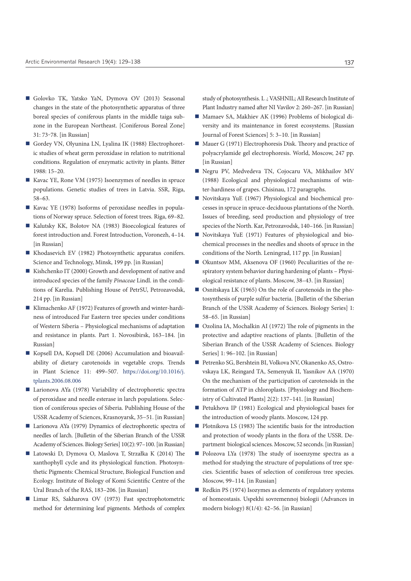- Golovko TK, Yatsko YaN, Dymova OV (2013) Seasonal changes in the state of the photosynthetic apparatus of three boreal species of coniferous plants in the middle taiga subzone in the European Northeast. [Coniferous Boreal Zone] 31: 73‒78. [in Russian]
- Gordey VN, Olyunina LN, Lyalina IK (1988) Electrophoretic studies of wheat germ peroxidase in relation to nutritional conditions. Regulation of enzymatic activity in plants. Bitter 1988: 15–20.
- Kavac YE, Rone VM (1975) Isoenzymes of needles in spruce populations. Genetic studies of trees in Latvia. SSR, Riga, 58–63.
- Kavac YE (1978) Isoforms of peroxidase needles in populations of Norway spruce. Selection of forest trees. Riga, 69–82.
- Kalutsky KK, Bolotov NA (1983) Bioecological features of forest introduction and. Forest Introduction, Voronezh, 4–14. [in Russian]
- Khodasevich EV (1982) Photosynthetic apparatus conifers. Science and Technology, Minsk, 199 pp. [in Russian]
- Kishchenko IT (2000) Growth and development of native and introduced species of the family *Pinaceae* Lindl. in the conditions of Karelia. Publishing House of PetrSU, Petrozavodsk, 214 pp. [in Russian]
- Klimachenko AF (1972) Features of growth and winter-hardiness of introduced Far Eastern tree species under conditions of Western Siberia – Physiological mechanisms of adaptation and resistance in plants. Part 1. Novosibirsk, 163–184. [in Russian]
- Kopsell DA, Kopsell DE (2006) Accumulation and bioavailability of dietary carotenoids in vegetable crops. Trends in Plant Science 11: 499–507. [https://doi.org/10.1016/j.](https://doi.org/10.1016/j.tplants.2006.08.006) [tplants.2006.08.006](https://doi.org/10.1016/j.tplants.2006.08.006)
- Larionova AYa (1978) Variability of electrophoretic spectra of peroxidase and needle esterase in larch populations. Selection of coniferous species of Siberia. Publishing House of the USSR Academy of Sciences, Krasnoyarsk, 35−51. [in Russian]
- Larionova AYa (1979) Dynamics of electrophoretic spectra of needles of larch. [Bulletin of the Siberian Branch of the USSR Academy of Sciences. Biology Series] 10(2): 97–100. [in Russian]
- Latowski D, Dymova O, Maslova T, Strzałka K (2014) The xanthophyll cycle and its physiological function. Photosynthetic Pigments: Chemical Structure, Biological Function and Ecology. Institute of Biology of Komi Scientific Centre of the Ural Branch of the RAS, 183–206. [in Russian]
- Limar RS, Sakharova OV (1973) Fast spectrophotometric method for determining leaf pigments. Methods of complex

study of photosynthesis. L .; VASHNIL; All Research Institute of Plant Industry named after NI Vavilov 2: 260–267. [in Russian]

- Mamaev SA, Makhiev AK (1996) Problems of biological diversity and its maintenance in forest ecosystems. [Russian Journal of Forest Sciences] 5: 3–10. [in Russian]
- Mauer G (1971) Electrophoresis Disk. Theory and practice of polyacrylamide gel electrophoresis. World, Moscow, 247 pp. [in Russian]
- Negru PV, Medvedeva TN, Cojocaru VA, Mikhailov MV (1988) Ecological and physiological mechanisms of winter-hardiness of grapes. Chisinau, 172 paragraphs.
- Novitskaya YuE (1967) Physiological and biochemical processes in spruce in spruce-deciduous plantations of the North. Issues of breeding, seed production and physiology of tree species of the North. Kar, Petrozavodsk, 140–166. [in Russian]
- Novitskaya YuE (1971) Features of physiological and biochemical processes in the needles and shoots of spruce in the conditions of the North. Leningrad, 117 pp. [in Russian]
- Okuntsov MM, Aksenova OF (1960) Peculiarities of the respiratory system behavior during hardening of plants – Physiological resistance of plants. Moscow, 38–43. [in Russian]
- Osnitskaya LK (1965) On the role of carotenoids in the photosynthesis of purple sulfur bacteria. [Bulletin of the Siberian Branch of the USSR Academy of Sciences. Biology Series] 1: 58–65. [in Russian]
- Ozolina IA, Mochalkin AI (1972) The role of pigments in the protective and adaptive reactions of plants. [Bulletin of the Siberian Branch of the USSR Academy of Sciences. Biology Series] 1: 96–102. [in Russian]
- Petrenko SG, Bershtein BI, Volkova NV, Okanenko AS, Ostrovskaya LK, Reingard TA, Semenyuk II, Yasnikov AA (1970) On the mechanism of the participation of carotenoids in the formation of ATP in chloroplasts. [Physiology and Biochemistry of Cultivated Plants] 2(2): 137–141. [in Russian]
- Petukhova IP (1981) Ecological and physiological bases for the introduction of woody plants. Moscow, 124 pp.
- **Plotnikova LS (1983)** The scientific basis for the introduction and protection of woody plants in the flora of the USSR. Department biological sciences. Moscow, 52 seconds. [in Russian]
- Polozova LYa (1978) The study of isoenzyme spectra as a method for studying the structure of populations of tree species. Scientific bases of selection of coniferous tree species. Moscow, 99–114. [in Russian]
- Redkin PS (1974) Isozymes as elements of regulatory systems of homeostasis. Uspekhi sovremennoj biologii (Advances in modern biology) 8(1/4): 42–56. [in Russian]